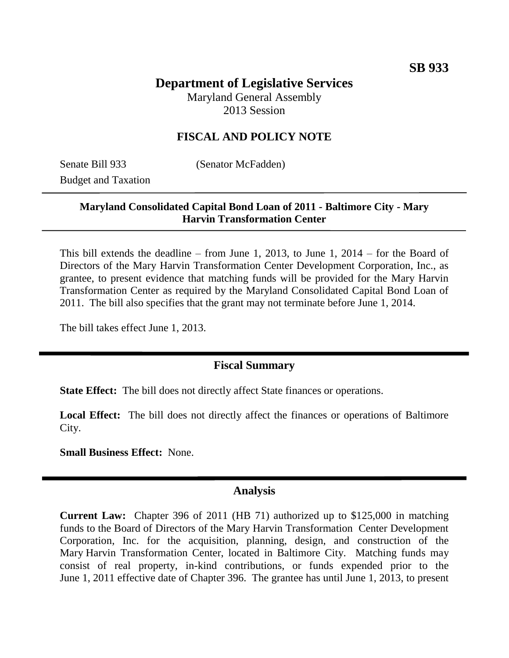# **Department of Legislative Services**

Maryland General Assembly 2013 Session

### **FISCAL AND POLICY NOTE**

Senate Bill 933 (Senator McFadden) Budget and Taxation

#### **Maryland Consolidated Capital Bond Loan of 2011 - Baltimore City - Mary Harvin Transformation Center**

This bill extends the deadline – from June 1, 2013, to June 1, 2014 – for the Board of Directors of the Mary Harvin Transformation Center Development Corporation, Inc., as grantee, to present evidence that matching funds will be provided for the Mary Harvin Transformation Center as required by the Maryland Consolidated Capital Bond Loan of 2011. The bill also specifies that the grant may not terminate before June 1, 2014.

The bill takes effect June 1, 2013.

#### **Fiscal Summary**

**State Effect:** The bill does not directly affect State finances or operations.

Local Effect: The bill does not directly affect the finances or operations of Baltimore City.

**Small Business Effect:** None.

#### **Analysis**

**Current Law:** Chapter 396 of 2011 (HB 71) authorized up to \$125,000 in matching funds to the Board of Directors of the Mary Harvin Transformation Center Development Corporation, Inc. for the acquisition, planning, design, and construction of the Mary Harvin Transformation Center, located in Baltimore City. Matching funds may consist of real property, in-kind contributions, or funds expended prior to the June 1, 2011 effective date of Chapter 396. The grantee has until June 1, 2013, to present